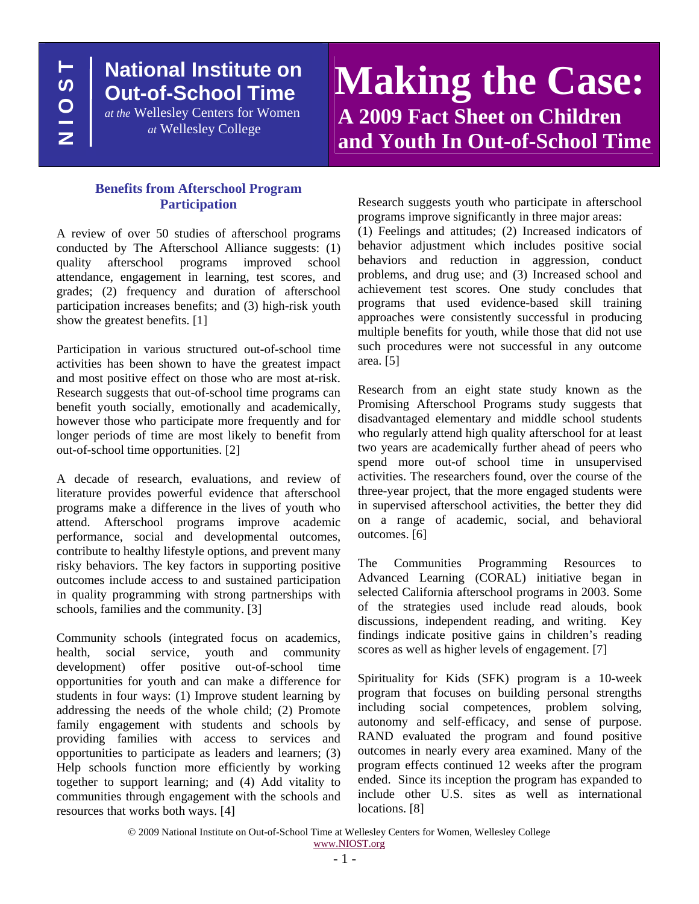**N I O S T HSO12** 

## **National Institute on Out-of-School Time**

*at the* Wellesley Centers for Women *at* Wellesley College

# **Making the Case: A 2009 Fact Sheet on Children and Youth In Out-of-School Time**

#### **Benefits from Afterschool Program Participation**

A review of over 50 studies of afterschool programs conducted by The Afterschool Alliance suggests: (1) quality afterschool programs improved school attendance, engagement in learning, test scores, and grades; (2) frequency and duration of afterschool participation increases benefits; and (3) high-risk youth show the greatest benefits. [1]

Participation in various structured out-of-school time activities has been shown to have the greatest impact and most positive effect on those who are most at-risk. Research suggests that out-of-school time programs can benefit youth socially, emotionally and academically, however those who participate more frequently and for longer periods of time are most likely to benefit from out-of-school time opportunities. [2]

A decade of research, evaluations, and review of literature provides powerful evidence that afterschool programs make a difference in the lives of youth who attend. Afterschool programs improve academic performance, social and developmental outcomes, contribute to healthy lifestyle options, and prevent many risky behaviors. The key factors in supporting positive outcomes include access to and sustained participation in quality programming with strong partnerships with schools, families and the community. [3]

Community schools (integrated focus on academics, health, social service, youth and community development) offer positive out-of-school time opportunities for youth and can make a difference for students in four ways: (1) Improve student learning by addressing the needs of the whole child; (2) Promote family engagement with students and schools by providing families with access to services and opportunities to participate as leaders and learners; (3) Help schools function more efficiently by working together to support learning; and (4) Add vitality to communities through engagement with the schools and resources that works both ways. [4]

Research suggests youth who participate in afterschool programs improve significantly in three major areas:

(1) Feelings and attitudes; (2) Increased indicators of behavior adjustment which includes positive social behaviors and reduction in aggression, conduct problems, and drug use; and (3) Increased school and achievement test scores. One study concludes that programs that used evidence-based skill training approaches were consistently successful in producing multiple benefits for youth, while those that did not use such procedures were not successful in any outcome area. [5]

Research from an eight state study known as the Promising Afterschool Programs study suggests that disadvantaged elementary and middle school students who regularly attend high quality afterschool for at least two years are academically further ahead of peers who spend more out-of school time in unsupervised activities. The researchers found, over the course of the three-year project, that the more engaged students were in supervised afterschool activities, the better they did on a range of academic, social, and behavioral outcomes. [6]

The Communities Programming Resources to Advanced Learning (CORAL) initiative began in selected California afterschool programs in 2003. Some of the strategies used include read alouds, book discussions, independent reading, and writing. Key findings indicate positive gains in children's reading scores as well as higher levels of engagement. [7]

Spirituality for Kids (SFK) program is a 10-week program that focuses on building personal strengths including social competences, problem solving, autonomy and self-efficacy, and sense of purpose. RAND evaluated the program and found positive outcomes in nearly every area examined. Many of the program effects continued 12 weeks after the program ended. Since its inception the program has expanded to include other U.S. sites as well as international locations. [8]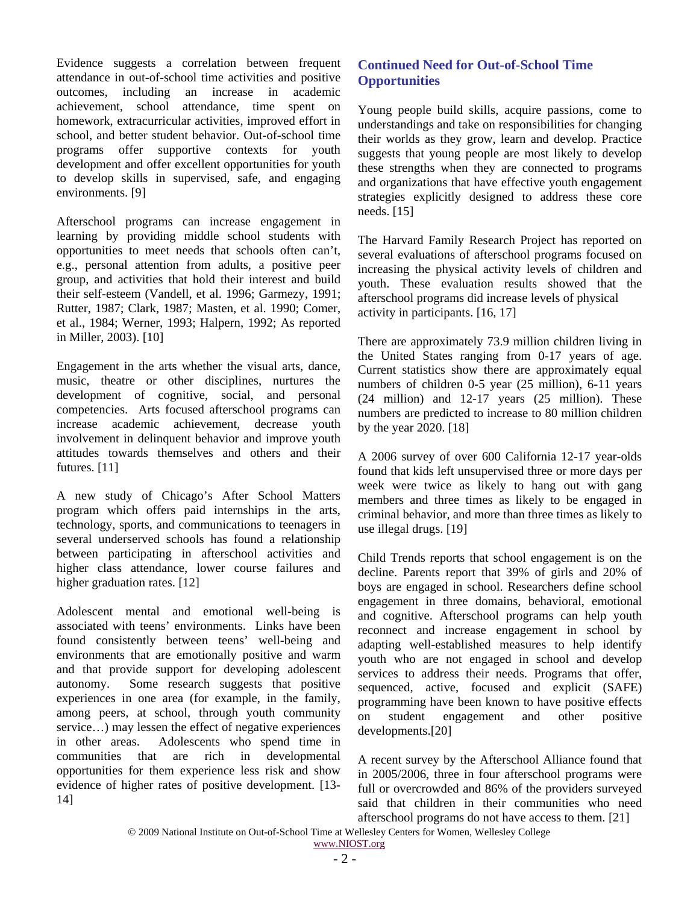Evidence suggests a correlation between frequent attendance in out-of-school time activities and positive outcomes, including an increase in academic achievement, school attendance, time spent on homework, extracurricular activities, improved effort in school, and better student behavior. Out-of-school time programs offer supportive contexts for youth development and offer excellent opportunities for youth to develop skills in supervised, safe, and engaging environments. [9]

Afterschool programs can increase engagement in learning by providing middle school students with opportunities to meet needs that schools often can't, e.g., personal attention from adults, a positive peer group, and activities that hold their interest and build their self-esteem (Vandell, et al. 1996; Garmezy, 1991; Rutter, 1987; Clark, 1987; Masten, et al. 1990; Comer, et al., 1984; Werner, 1993; Halpern, 1992; As reported in Miller, 2003). [10]

Engagement in the arts whether the visual arts, dance, music, theatre or other disciplines, nurtures the development of cognitive, social, and personal competencies. Arts focused afterschool programs can increase academic achievement, decrease youth involvement in delinquent behavior and improve youth attitudes towards themselves and others and their futures. [11]

A new study of Chicago's After School Matters program which offers paid internships in the arts, technology, sports, and communications to teenagers in several underserved schools has found a relationship between participating in afterschool activities and higher class attendance, lower course failures and higher graduation rates. [12]

Adolescent mental and emotional well-being is associated with teens' environments. Links have been found consistently between teens' well-being and environments that are emotionally positive and warm and that provide support for developing adolescent autonomy. Some research suggests that positive experiences in one area (for example, in the family, among peers, at school, through youth community service...) may lessen the effect of negative experiences in other areas. Adolescents who spend time in communities that are rich in developmental opportunities for them experience less risk and show evidence of higher rates of positive development. [13- 14]

#### **Continued Need for Out-of-School Time Opportunities**

Young people build skills, acquire passions, come to understandings and take on responsibilities for changing their worlds as they grow, learn and develop. Practice suggests that young people are most likely to develop these strengths when they are connected to programs and organizations that have effective youth engagement strategies explicitly designed to address these core needs. [15]

The Harvard Family Research Project has reported on several evaluations of afterschool programs focused on increasing the physical activity levels of children and youth. These evaluation results showed that the afterschool programs did increase levels of physical activity in participants. [16, 17]

There are approximately 73.9 million children living in the United States ranging from 0-17 years of age. Current statistics show there are approximately equal numbers of children 0-5 year (25 million), 6-11 years (24 million) and 12-17 years (25 million). These numbers are predicted to increase to 80 million children by the year 2020. [18]

A 2006 survey of over 600 California 12-17 year-olds found that kids left unsupervised three or more days per week were twice as likely to hang out with gang members and three times as likely to be engaged in criminal behavior, and more than three times as likely to use illegal drugs. [19]

Child Trends reports that school engagement is on the decline. Parents report that 39% of girls and 20% of boys are engaged in school. Researchers define school engagement in three domains, behavioral, emotional and cognitive. Afterschool programs can help youth reconnect and increase engagement in school by adapting well-established measures to help identify youth who are not engaged in school and develop services to address their needs. Programs that offer, sequenced, active, focused and explicit (SAFE) programming have been known to have positive effects on student engagement and other positive developments.[20]

A recent survey by the Afterschool Alliance found that in 2005/2006, three in four afterschool programs were full or overcrowded and 86% of the providers surveyed said that children in their communities who need afterschool programs do not have access to them. [21]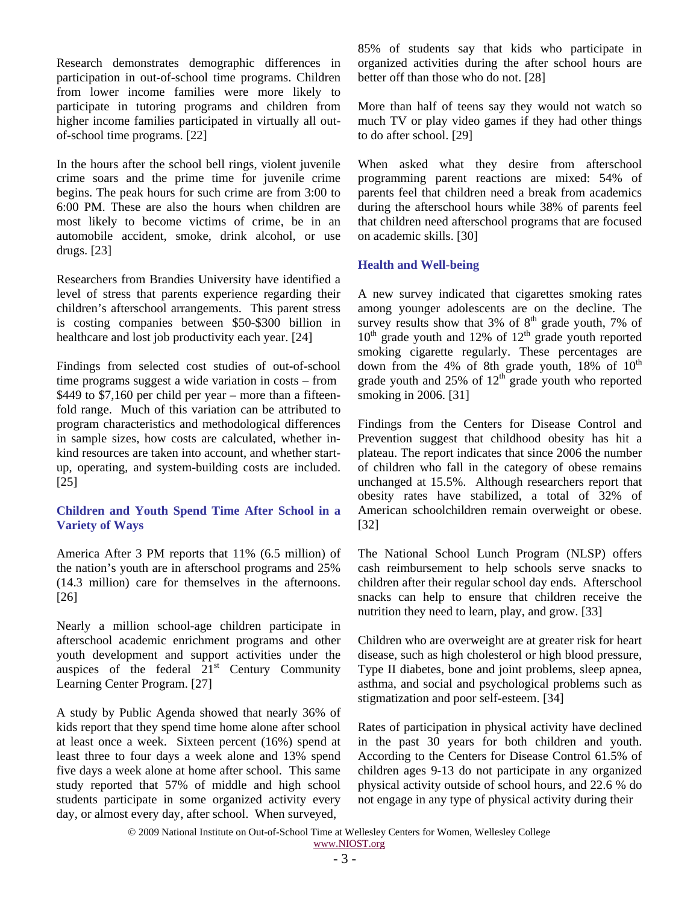Research demonstrates demographic differences in participation in out-of-school time programs. Children from lower income families were more likely to participate in tutoring programs and children from higher income families participated in virtually all outof-school time programs. [22]

In the hours after the school bell rings, violent juvenile crime soars and the prime time for juvenile crime begins. The peak hours for such crime are from 3:00 to 6:00 PM. These are also the hours when children are most likely to become victims of crime, be in an automobile accident, smoke, drink alcohol, or use drugs. [23]

Researchers from Brandies University have identified a level of stress that parents experience regarding their children's afterschool arrangements. This parent stress is costing companies between \$50-\$300 billion in healthcare and lost job productivity each year. [24]

Findings from selected cost studies of out-of-school time programs suggest a wide variation in costs – from \$449 to \$7,160 per child per year – more than a fifteenfold range. Much of this variation can be attributed to program characteristics and methodological differences in sample sizes, how costs are calculated, whether inkind resources are taken into account, and whether startup, operating, and system-building costs are included. [25]

#### **Children and Youth Spend Time After School in a Variety of Ways**

America After 3 PM reports that 11% (6.5 million) of the nation's youth are in afterschool programs and 25% (14.3 million) care for themselves in the afternoons. [26]

Nearly a million school-age children participate in afterschool academic enrichment programs and other youth development and support activities under the auspices of the federal  $21<sup>st</sup>$  Century Community Learning Center Program. [27]

A study by Public Agenda showed that nearly 36% of kids report that they spend time home alone after school at least once a week. Sixteen percent (16%) spend at least three to four days a week alone and 13% spend five days a week alone at home after school. This same study reported that 57% of middle and high school students participate in some organized activity every day, or almost every day, after school. When surveyed,

85% of students say that kids who participate in organized activities during the after school hours are better off than those who do not. [28]

More than half of teens say they would not watch so much TV or play video games if they had other things to do after school. [29]

When asked what they desire from afterschool programming parent reactions are mixed: 54% of parents feel that children need a break from academics during the afterschool hours while 38% of parents feel that children need afterschool programs that are focused on academic skills. [30]

#### **Health and Well-being**

A new survey indicated that cigarettes smoking rates among younger adolescents are on the decline. The survey results show that  $3\%$  of  $8<sup>th</sup>$  grade youth, 7% of  $10<sup>th</sup>$  grade youth and 12% of  $12<sup>th</sup>$  grade youth reported smoking cigarette regularly. These percentages are down from the 4% of 8th grade youth, 18% of  $10^{th}$ grade youth and  $25\%$  of  $12<sup>th</sup>$  grade youth who reported smoking in 2006. [31]

Findings from the Centers for Disease Control and Prevention suggest that childhood obesity has hit a plateau. The report indicates that since 2006 the number of children who fall in the category of obese remains unchanged at 15.5%. Although researchers report that obesity rates have stabilized, a total of 32% of American schoolchildren remain overweight or obese. [32]

The National School Lunch Program (NLSP) offers cash reimbursement to help schools serve snacks to children after their regular school day ends. Afterschool snacks can help to ensure that children receive the nutrition they need to learn, play, and grow. [33]

Children who are overweight are at greater risk for heart disease, such as high cholesterol or high blood pressure, Type II diabetes, bone and joint problems, sleep apnea, asthma, and social and psychological problems such as stigmatization and poor self-esteem. [34]

Rates of participation in physical activity have declined in the past 30 years for both children and youth. According to the Centers for Disease Control 61.5% of children ages 9-13 do not participate in any organized physical activity outside of school hours, and 22.6 % do not engage in any type of physical activity during their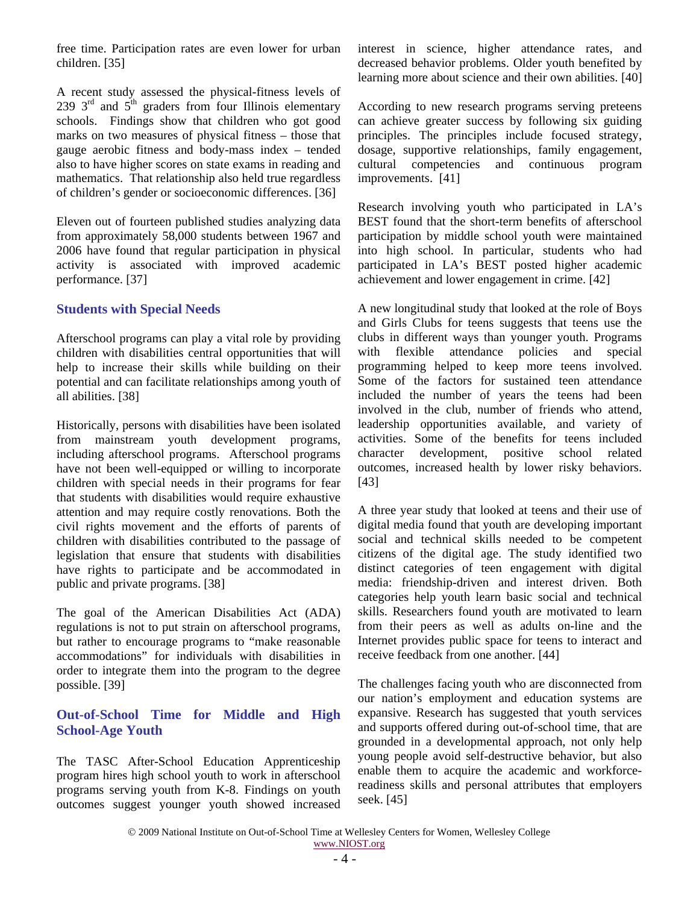free time. Participation rates are even lower for urban children. [35]

A recent study assessed the physical-fitness levels of 239  $3<sup>rd</sup>$  and  $5<sup>th</sup>$  graders from four Illinois elementary schools. Findings show that children who got good marks on two measures of physical fitness – those that gauge aerobic fitness and body-mass index – tended also to have higher scores on state exams in reading and mathematics. That relationship also held true regardless of children's gender or socioeconomic differences. [36]

Eleven out of fourteen published studies analyzing data from approximately 58,000 students between 1967 and 2006 have found that regular participation in physical activity is associated with improved academic performance. [37]

#### **Students with Special Needs**

Afterschool programs can play a vital role by providing children with disabilities central opportunities that will help to increase their skills while building on their potential and can facilitate relationships among youth of all abilities. [38]

Historically, persons with disabilities have been isolated from mainstream youth development programs, including afterschool programs. Afterschool programs have not been well-equipped or willing to incorporate children with special needs in their programs for fear that students with disabilities would require exhaustive attention and may require costly renovations. Both the civil rights movement and the efforts of parents of children with disabilities contributed to the passage of legislation that ensure that students with disabilities have rights to participate and be accommodated in public and private programs. [38]

The goal of the American Disabilities Act (ADA) regulations is not to put strain on afterschool programs, but rather to encourage programs to "make reasonable accommodations" for individuals with disabilities in order to integrate them into the program to the degree possible. [39]

#### **Out-of-School Time for Middle and High School-Age Youth**

The TASC After-School Education Apprenticeship program hires high school youth to work in afterschool programs serving youth from K-8. Findings on youth outcomes suggest younger youth showed increased interest in science, higher attendance rates, and decreased behavior problems. Older youth benefited by learning more about science and their own abilities. [40]

According to new research programs serving preteens can achieve greater success by following six guiding principles. The principles include focused strategy, dosage, supportive relationships, family engagement, cultural competencies and continuous program improvements. [41]

Research involving youth who participated in LA's BEST found that the short-term benefits of afterschool participation by middle school youth were maintained into high school. In particular, students who had participated in LA's BEST posted higher academic achievement and lower engagement in crime. [42]

A new longitudinal study that looked at the role of Boys and Girls Clubs for teens suggests that teens use the clubs in different ways than younger youth. Programs with flexible attendance policies and special programming helped to keep more teens involved. Some of the factors for sustained teen attendance included the number of years the teens had been involved in the club, number of friends who attend, leadership opportunities available, and variety of activities. Some of the benefits for teens included character development, positive school related outcomes, increased health by lower risky behaviors. [43]

A three year study that looked at teens and their use of digital media found that youth are developing important social and technical skills needed to be competent citizens of the digital age. The study identified two distinct categories of teen engagement with digital media: friendship-driven and interest driven. Both categories help youth learn basic social and technical skills. Researchers found youth are motivated to learn from their peers as well as adults on-line and the Internet provides public space for teens to interact and receive feedback from one another. [44]

The challenges facing youth who are disconnected from our nation's employment and education systems are expansive. Research has suggested that youth services and supports offered during out-of-school time, that are grounded in a developmental approach, not only help young people avoid self-destructive behavior, but also enable them to acquire the academic and workforcereadiness skills and personal attributes that employers seek. [45]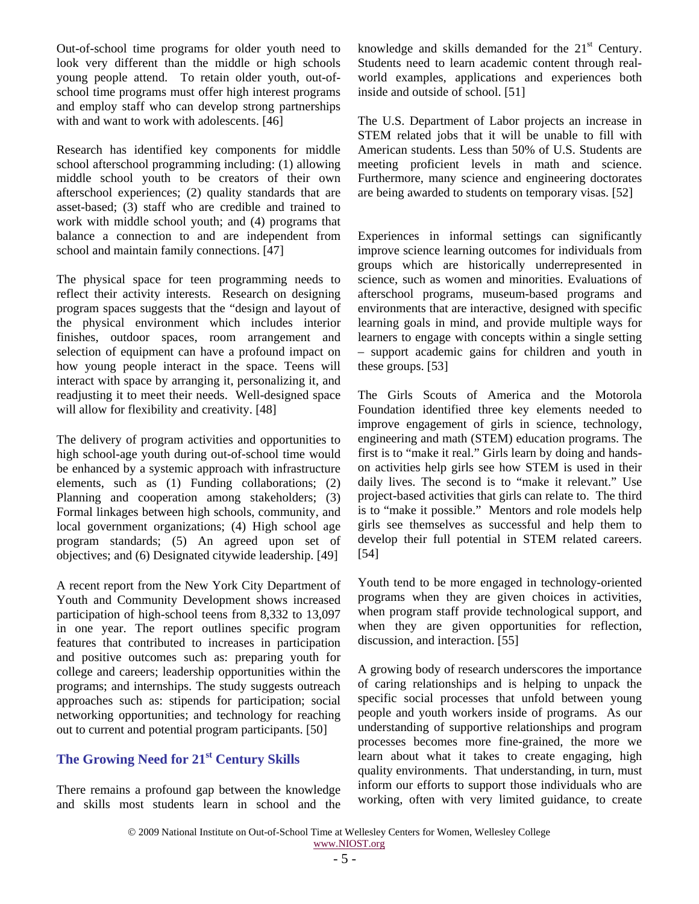Out-of-school time programs for older youth need to look very different than the middle or high schools young people attend. To retain older youth, out-ofschool time programs must offer high interest programs and employ staff who can develop strong partnerships with and want to work with adolescents. [46]

Research has identified key components for middle school afterschool programming including: (1) allowing middle school youth to be creators of their own afterschool experiences; (2) quality standards that are asset-based; (3) staff who are credible and trained to work with middle school youth; and (4) programs that balance a connection to and are independent from school and maintain family connections. [47]

The physical space for teen programming needs to reflect their activity interests. Research on designing program spaces suggests that the "design and layout of the physical environment which includes interior finishes, outdoor spaces, room arrangement and selection of equipment can have a profound impact on how young people interact in the space. Teens will interact with space by arranging it, personalizing it, and readjusting it to meet their needs. Well-designed space will allow for flexibility and creativity. [48]

The delivery of program activities and opportunities to high school-age youth during out-of-school time would be enhanced by a systemic approach with infrastructure elements, such as (1) Funding collaborations; (2) Planning and cooperation among stakeholders; (3) Formal linkages between high schools, community, and local government organizations; (4) High school age program standards; (5) An agreed upon set of objectives; and (6) Designated citywide leadership. [49]

A recent report from the New York City Department of Youth and Community Development shows increased participation of high-school teens from 8,332 to 13,097 in one year. The report outlines specific program features that contributed to increases in participation and positive outcomes such as: preparing youth for college and careers; leadership opportunities within the programs; and internships. The study suggests outreach approaches such as: stipends for participation; social networking opportunities; and technology for reaching out to current and potential program participants. [50]

### **The Growing Need for 21<sup>st</sup> Century Skills**

There remains a profound gap between the knowledge and skills most students learn in school and the knowledge and skills demanded for the 21<sup>st</sup> Century. Students need to learn academic content through realworld examples, applications and experiences both inside and outside of school. [51]

The U.S. Department of Labor projects an increase in STEM related jobs that it will be unable to fill with American students. Less than 50% of U.S. Students are meeting proficient levels in math and science. Furthermore, many science and engineering doctorates are being awarded to students on temporary visas. [52]

Experiences in informal settings can significantly improve science learning outcomes for individuals from groups which are historically underrepresented in science, such as women and minorities. Evaluations of afterschool programs, museum-based programs and environments that are interactive, designed with specific learning goals in mind, and provide multiple ways for learners to engage with concepts within a single setting – support academic gains for children and youth in these groups. [53]

The Girls Scouts of America and the Motorola Foundation identified three key elements needed to improve engagement of girls in science, technology, engineering and math (STEM) education programs. The first is to "make it real." Girls learn by doing and handson activities help girls see how STEM is used in their daily lives. The second is to "make it relevant." Use project-based activities that girls can relate to. The third is to "make it possible." Mentors and role models help girls see themselves as successful and help them to develop their full potential in STEM related careers. [54]

Youth tend to be more engaged in technology-oriented programs when they are given choices in activities, when program staff provide technological support, and when they are given opportunities for reflection, discussion, and interaction. [55]

A growing body of research underscores the importance of caring relationships and is helping to unpack the specific social processes that unfold between young people and youth workers inside of programs. As our understanding of supportive relationships and program processes becomes more fine-grained, the more we learn about what it takes to create engaging, high quality environments. That understanding, in turn, must inform our efforts to support those individuals who are working, often with very limited guidance, to create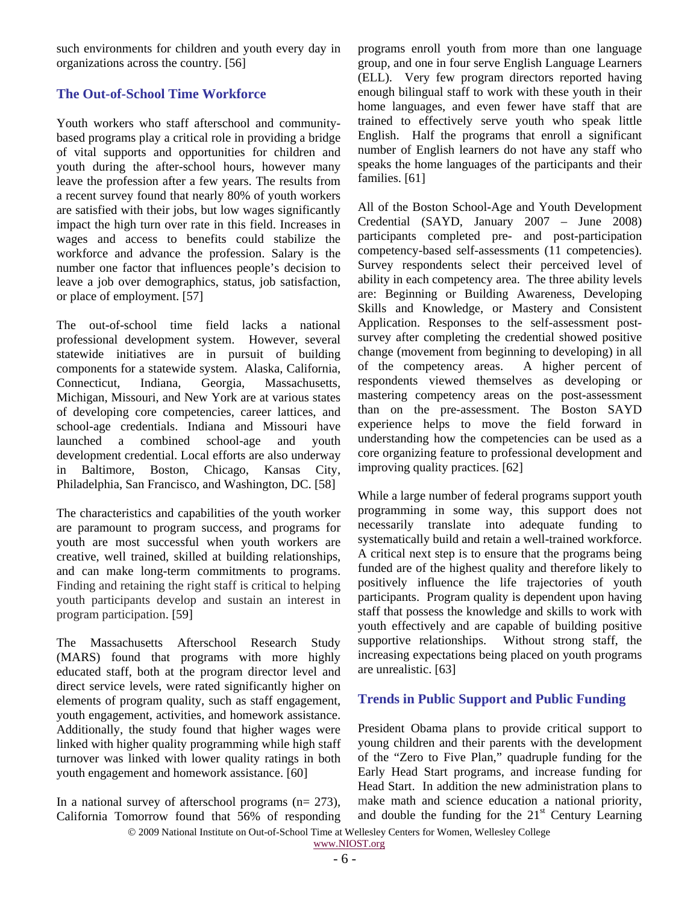such environments for children and youth every day in organizations across the country. [56]

#### **The Out-of-School Time Workforce**

Youth workers who staff afterschool and communitybased programs play a critical role in providing a bridge of vital supports and opportunities for children and youth during the after-school hours, however many leave the profession after a few years. The results from a recent survey found that nearly 80% of youth workers are satisfied with their jobs, but low wages significantly impact the high turn over rate in this field. Increases in wages and access to benefits could stabilize the workforce and advance the profession. Salary is the number one factor that influences people's decision to leave a job over demographics, status, job satisfaction, or place of employment. [57]

The out-of-school time field lacks a national professional development system. However, several statewide initiatives are in pursuit of building components for a statewide system. Alaska, California, Connecticut, Indiana, Georgia, Massachusetts, Michigan, Missouri, and New York are at various states of developing core competencies, career lattices, and school-age credentials. Indiana and Missouri have launched a combined school-age and youth development credential. Local efforts are also underway in Baltimore, Boston, Chicago, Kansas City, Philadelphia, San Francisco, and Washington, DC. [58]

The characteristics and capabilities of the youth worker are paramount to program success, and programs for youth are most successful when youth workers are creative, well trained, skilled at building relationships, and can make long-term commitments to programs. Finding and retaining the right staff is critical to helping youth participants develop and sustain an interest in program participation. [59]

The Massachusetts Afterschool Research Study (MARS) found that programs with more highly educated staff, both at the program director level and direct service levels, were rated significantly higher on elements of program quality, such as staff engagement, youth engagement, activities, and homework assistance. Additionally, the study found that higher wages were linked with higher quality programming while high staff turnover was linked with lower quality ratings in both youth engagement and homework assistance. [60]

In a national survey of afterschool programs ( $n= 273$ ), California Tomorrow found that 56% of responding programs enroll youth from more than one language group, and one in four serve English Language Learners (ELL). Very few program directors reported having enough bilingual staff to work with these youth in their home languages, and even fewer have staff that are trained to effectively serve youth who speak little English. Half the programs that enroll a significant number of English learners do not have any staff who speaks the home languages of the participants and their families. [61]

All of the Boston School-Age and Youth Development Credential (SAYD, January 2007 – June 2008) participants completed pre- and post-participation competency-based self-assessments (11 competencies). Survey respondents select their perceived level of ability in each competency area. The three ability levels are: Beginning or Building Awareness, Developing Skills and Knowledge, or Mastery and Consistent Application. Responses to the self-assessment postsurvey after completing the credential showed positive change (movement from beginning to developing) in all of the competency areas. A higher percent of respondents viewed themselves as developing or mastering competency areas on the post-assessment than on the pre-assessment. The Boston SAYD experience helps to move the field forward in understanding how the competencies can be used as a core organizing feature to professional development and improving quality practices. [62]

While a large number of federal programs support youth programming in some way, this support does not necessarily translate into adequate funding to systematically build and retain a well-trained workforce. A critical next step is to ensure that the programs being funded are of the highest quality and therefore likely to positively influence the life trajectories of youth participants. Program quality is dependent upon having staff that possess the knowledge and skills to work with youth effectively and are capable of building positive supportive relationships. Without strong staff, the increasing expectations being placed on youth programs are unrealistic. [63]

#### **Trends in Public Support and Public Funding**

President Obama plans to provide critical support to young children and their parents with the development of the "Zero to Five Plan," quadruple funding for the Early Head Start programs, and increase funding for Head Start. In addition the new administration plans to make math and science education a national priority, and double the funding for the  $21<sup>st</sup>$  Century Learning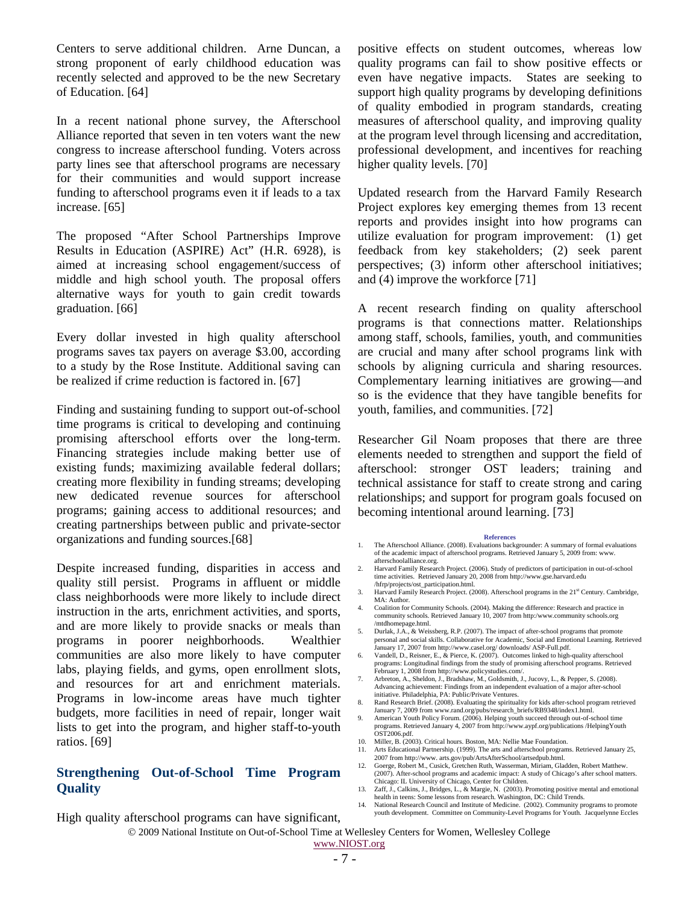Centers to serve additional children. Arne Duncan, a strong proponent of early childhood education was recently selected and approved to be the new Secretary of Education. [64]

In a recent national phone survey, the Afterschool Alliance reported that seven in ten voters want the new congress to increase afterschool funding. Voters across party lines see that afterschool programs are necessary for their communities and would support increase funding to afterschool programs even it if leads to a tax increase. [65]

The proposed "After School Partnerships Improve Results in Education (ASPIRE) Act" (H.R. 6928), is aimed at increasing school engagement/success of middle and high school youth. The proposal offers alternative ways for youth to gain credit towards graduation. [66]

Every dollar invested in high quality afterschool programs saves tax payers on average \$3.00, according to a study by the Rose Institute. Additional saving can be realized if crime reduction is factored in. [67]

Finding and sustaining funding to support out-of-school time programs is critical to developing and continuing promising afterschool efforts over the long-term. Financing strategies include making better use of existing funds; maximizing available federal dollars; creating more flexibility in funding streams; developing new dedicated revenue sources for afterschool programs; gaining access to additional resources; and creating partnerships between public and private-sector organizations and funding sources.[68]

Despite increased funding, disparities in access and quality still persist. Programs in affluent or middle class neighborhoods were more likely to include direct instruction in the arts, enrichment activities, and sports, and are more likely to provide snacks or meals than programs in poorer neighborhoods. Wealthier communities are also more likely to have computer labs, playing fields, and gyms, open enrollment slots, and resources for art and enrichment materials. Programs in low-income areas have much tighter budgets, more facilities in need of repair, longer wait lists to get into the program, and higher staff-to-youth ratios. [69]

#### **Strengthening Out-of-School Time Program Quality**

positive effects on student outcomes, whereas low quality programs can fail to show positive effects or even have negative impacts. States are seeking to support high quality programs by developing definitions of quality embodied in program standards, creating measures of afterschool quality, and improving quality at the program level through licensing and accreditation, professional development, and incentives for reaching higher quality levels. [70]

Updated research from the Harvard Family Research Project explores key emerging themes from 13 recent reports and provides insight into how programs can utilize evaluation for program improvement: (1) get feedback from key stakeholders; (2) seek parent perspectives; (3) inform other afterschool initiatives; and (4) improve the workforce [71]

A recent research finding on quality afterschool programs is that connections matter. Relationships among staff, schools, families, youth, and communities are crucial and many after school programs link with schools by aligning curricula and sharing resources. Complementary learning initiatives are growing—and so is the evidence that they have tangible benefits for youth, families, and communities. [72]

Researcher Gil Noam proposes that there are three elements needed to strengthen and support the field of afterschool: stronger OST leaders; training and technical assistance for staff to create strong and caring relationships; and support for program goals focused on becoming intentional around learning. [73]

#### **References**

- 1. The Afterschool Alliance. (2008). Evaluations backgrounder: A summary of formal evaluations of the academic impact of afterschool programs. Retrieved January 5, 2009 from: www. afterschoolalliance.org.
- 2. Harvard Family Research Project. (2006). Study of predictors of participation in out-of-school time activities. Retrieved January 20, 2008 from http://www.gse.harvard.edu /hfrp/projects/ost\_participation.html.
- 3. Harvard Family Research Project. (2008). Afterschool programs in the 21st Century. Cambridge, MA: Author.
- 4. Coalition for Community Schools. (2004). Making the difference: Research and practice in community schools. Retrieved January 10, 2007 from http:/www.community schools.org /mtdhomepage.html.
- 5. Durlak, J.A., & Weissberg, R.P. (2007). The impact of after-school programs that promote personal and social skills. Collaborative for Academic, Social and Emotional Learning. Retrieved January 17, 2007 from http://www.casel.org/ downloads/ ASP-Full.pdf.
- 6. Vandell, D., Reisner, E., & Pierce, K. (2007). Outcomes linked to high-quality afterschool programs: Longitudinal findings from the study of promising afterschool programs. Retrieved February 1, 2008 from http://www.policystudies.com/.
- 7. Arbreton, A., Sheldon, J., Bradshaw, M., Goldsmith, J., Jucovy, L., & Pepper, S. (2008). Advancing achievement: Findings from an independent evaluation of a major after-school initiative. Philadelphia, PA: Public/Private Ventures.
- Rand Research Brief. (2008). Evaluating the spirituality for kids after-school program retrieved
- January 7, 2009 from www.rand.org/pubs/research\_briefs/RB9348/index1.html.<br>American Youth Policy Forum. (2006). Helping youth succeed through out-of-school time<br>programs. Retrieved January 4, 2007 from http://www.aypf.org/  $OST2006$  ndf.
- 10. Miller, B. (2003). Critical hours. Boston, MA: Nellie Mae Foundation.
- 11. Arts Educational Partnership. (1999). The arts and afterschool programs. Retrieved January 25, 2007 from http://www. arts.gov/pub/ArtsAfterSchool/artsedpub.html. 12. Goerge, Robert M., Cusick, Gretchen Ruth, Wasserman, Miriam, Gladden, Robert Matthew.
- (2007). After-school programs and academic impact: A study of Chicago's after school matters. Chicago: IL University of Chicago, Center for Children.
- 13. Zaff, J., Calkins, J., Bridges, L., & Margie, N. (2003). Promoting positive mental and emotional health in teens: Some lessons from research. Washington, DC: Child Trends. 14. National Research Council and Institute of Medicine. (2002). Community programs to promote
- youth development. Committee on Community-Level Programs for Youth. Jacquelynne Eccles

High quality afterschool programs can have significant,